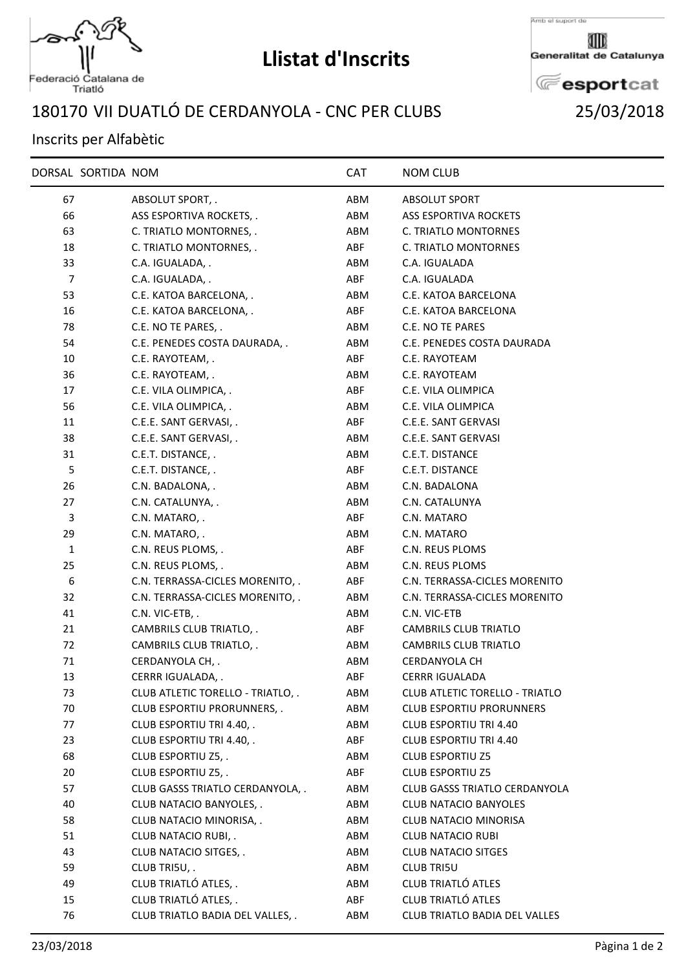

## **Llistat d'Inscrits**

Generalitat de Catalunya

**E**esportcat VII DUATLÓ DE CERDANYOLA - CNC PER CLUBS 25/03/2018

## Inscrits per Alfabètic

|              | DORSAL SORTIDA NOM |                                   | <b>CAT</b> | <b>NOM CLUB</b>                       |  |
|--------------|--------------------|-----------------------------------|------------|---------------------------------------|--|
| 67           |                    | ABSOLUT SPORT, .                  | ABM        | <b>ABSOLUT SPORT</b>                  |  |
| 66           |                    | ASS ESPORTIVA ROCKETS, .          | ABM        | <b>ASS ESPORTIVA ROCKETS</b>          |  |
| 63           |                    | C. TRIATLO MONTORNES, .           | ABM        | C. TRIATLO MONTORNES                  |  |
| 18           |                    | C. TRIATLO MONTORNES, .           | ABF        | C. TRIATLO MONTORNES                  |  |
| 33           |                    | C.A. IGUALADA, .                  | ABM        | C.A. IGUALADA                         |  |
| 7            |                    | C.A. IGUALADA, .                  | ABF        | C.A. IGUALADA                         |  |
| 53           |                    | C.E. KATOA BARCELONA, .           | ABM        | C.E. KATOA BARCELONA                  |  |
| 16           |                    | C.E. KATOA BARCELONA, .           | ABF        | C.E. KATOA BARCELONA                  |  |
| 78           |                    | C.E. NO TE PARES, .               | ABM        | C.E. NO TE PARES                      |  |
| 54           |                    | C.E. PENEDES COSTA DAURADA, .     | ABM        | C.E. PENEDES COSTA DAURADA            |  |
| 10           |                    | C.E. RAYOTEAM, .                  | ABF        | C.E. RAYOTEAM                         |  |
| 36           |                    | C.E. RAYOTEAM, .                  | ABM        | C.E. RAYOTEAM                         |  |
| 17           |                    | C.E. VILA OLIMPICA, .             | ABF        | C.E. VILA OLIMPICA                    |  |
| 56           |                    | C.E. VILA OLIMPICA, .             | ABM        | C.E. VILA OLIMPICA                    |  |
| 11           |                    | C.E.E. SANT GERVASI, .            | ABF        | C.E.E. SANT GERVASI                   |  |
| 38           |                    | C.E.E. SANT GERVASI, .            | ABM        | C.E.E. SANT GERVASI                   |  |
| 31           |                    | C.E.T. DISTANCE, .                | ABM        | C.E.T. DISTANCE                       |  |
| 5            |                    | C.E.T. DISTANCE, .                | ABF        | C.E.T. DISTANCE                       |  |
| 26           |                    | C.N. BADALONA, .                  | ABM        | C.N. BADALONA                         |  |
| 27           |                    | C.N. CATALUNYA, .                 | ABM        | C.N. CATALUNYA                        |  |
| 3            |                    | C.N. MATARO, .                    | ABF        | C.N. MATARO                           |  |
| 29           |                    | C.N. MATARO, .                    | ABM        | C.N. MATARO                           |  |
| $\mathbf{1}$ |                    | C.N. REUS PLOMS, .                | ABF        | C.N. REUS PLOMS                       |  |
| 25           |                    | C.N. REUS PLOMS, .                | ABM        | C.N. REUS PLOMS                       |  |
| 6            |                    | C.N. TERRASSA-CICLES MORENITO, .  | ABF        | C.N. TERRASSA-CICLES MORENITO         |  |
| 32           |                    | C.N. TERRASSA-CICLES MORENITO, .  | ABM        | C.N. TERRASSA-CICLES MORENITO         |  |
| 41           |                    | C.N. VIC-ETB, .                   | ABM        | C.N. VIC-ETB                          |  |
| 21           |                    | CAMBRILS CLUB TRIATLO, .          | ABF        | <b>CAMBRILS CLUB TRIATLO</b>          |  |
| 72           |                    | CAMBRILS CLUB TRIATLO, .          | ABM        | <b>CAMBRILS CLUB TRIATLO</b>          |  |
| 71           |                    | CERDANYOLA CH, .                  | ABM        | CERDANYOLA CH                         |  |
| 13           |                    | CERRR IGUALADA, .                 | ABF        | <b>CERRR IGUALADA</b>                 |  |
| 73           |                    | CLUB ATLETIC TORELLO - TRIATLO, . | ABM        | <b>CLUB ATLETIC TORELLO - TRIATLO</b> |  |
| 70           |                    | CLUB ESPORTIU PRORUNNERS, .       | ABM        | <b>CLUB ESPORTIU PRORUNNERS</b>       |  |
| 77           |                    | CLUB ESPORTIU TRI 4.40, .         | ABM        | <b>CLUB ESPORTIU TRI 4.40</b>         |  |
| 23           |                    | CLUB ESPORTIU TRI 4.40, .         | ABF        | <b>CLUB ESPORTIU TRI 4.40</b>         |  |
| 68           |                    | CLUB ESPORTIU Z5, .               | ABM        | <b>CLUB ESPORTIU Z5</b>               |  |
| 20           |                    | CLUB ESPORTIU Z5, .               | ABF        | <b>CLUB ESPORTIU Z5</b>               |  |
| 57           |                    | CLUB GASSS TRIATLO CERDANYOLA, .  | ABM        | <b>CLUB GASSS TRIATLO CERDANYOLA</b>  |  |
| 40           |                    | CLUB NATACIO BANYOLES, .          | ABM        | <b>CLUB NATACIO BANYOLES</b>          |  |
| 58           |                    | CLUB NATACIO MINORISA, .          | ABM        | <b>CLUB NATACIO MINORISA</b>          |  |
| 51           |                    | CLUB NATACIO RUBI, .              | ABM        | <b>CLUB NATACIO RUBI</b>              |  |
| 43           |                    | CLUB NATACIO SITGES, .            | ABM        | <b>CLUB NATACIO SITGES</b>            |  |
| 59           |                    | CLUB TRI5U, .                     | ABM        | <b>CLUB TRI5U</b>                     |  |
| 49           |                    | CLUB TRIATLÓ ATLES, .             | ABM        | <b>CLUB TRIATLÓ ATLES</b>             |  |
| 15           |                    | CLUB TRIATLÓ ATLES, .             | ABF        | <b>CLUB TRIATLÓ ATLES</b>             |  |
| 76           |                    | CLUB TRIATLO BADIA DEL VALLES, .  | ABM        | <b>CLUB TRIATLO BADIA DEL VALLES</b>  |  |
|              |                    |                                   |            |                                       |  |